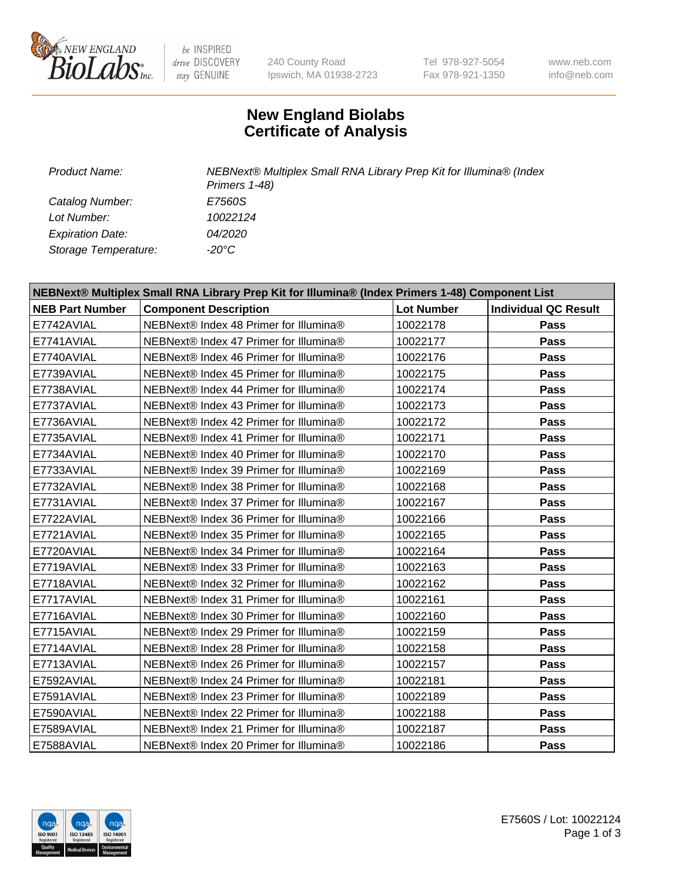

be INSPIRED drive DISCOVERY stay GENUINE

240 County Road Ipswich, MA 01938-2723 Tel 978-927-5054 Fax 978-921-1350

www.neb.com info@neb.com

## **New England Biolabs Certificate of Analysis**

*Catalog Number: E7560S Lot Number: 10022124 Expiration Date: 04/2020 Storage Temperature: -20°C*

*Product Name: NEBNext® Multiplex Small RNA Library Prep Kit for Illumina® (Index Primers 1-48)*

| NEBNext® Multiplex Small RNA Library Prep Kit for Illumina® (Index Primers 1-48) Component List |                                        |                   |                             |  |  |
|-------------------------------------------------------------------------------------------------|----------------------------------------|-------------------|-----------------------------|--|--|
| <b>NEB Part Number</b>                                                                          | <b>Component Description</b>           | <b>Lot Number</b> | <b>Individual QC Result</b> |  |  |
| E7742AVIAL                                                                                      | NEBNext® Index 48 Primer for Illumina® | 10022178          | Pass                        |  |  |
| E7741AVIAL                                                                                      | NEBNext® Index 47 Primer for Illumina® | 10022177          | Pass                        |  |  |
| E7740AVIAL                                                                                      | NEBNext® Index 46 Primer for Illumina® | 10022176          | <b>Pass</b>                 |  |  |
| E7739AVIAL                                                                                      | NEBNext® Index 45 Primer for Illumina® | 10022175          | Pass                        |  |  |
| E7738AVIAL                                                                                      | NEBNext® Index 44 Primer for Illumina® | 10022174          | <b>Pass</b>                 |  |  |
| E7737AVIAL                                                                                      | NEBNext® Index 43 Primer for Illumina® | 10022173          | Pass                        |  |  |
| E7736AVIAL                                                                                      | NEBNext® Index 42 Primer for Illumina® | 10022172          | Pass                        |  |  |
| E7735AVIAL                                                                                      | NEBNext® Index 41 Primer for Illumina® | 10022171          | Pass                        |  |  |
| E7734AVIAL                                                                                      | NEBNext® Index 40 Primer for Illumina® | 10022170          | Pass                        |  |  |
| E7733AVIAL                                                                                      | NEBNext® Index 39 Primer for Illumina® | 10022169          | <b>Pass</b>                 |  |  |
| E7732AVIAL                                                                                      | NEBNext® Index 38 Primer for Illumina® | 10022168          | Pass                        |  |  |
| E7731AVIAL                                                                                      | NEBNext® Index 37 Primer for Illumina® | 10022167          | Pass                        |  |  |
| E7722AVIAL                                                                                      | NEBNext® Index 36 Primer for Illumina® | 10022166          | Pass                        |  |  |
| E7721AVIAL                                                                                      | NEBNext® Index 35 Primer for Illumina® | 10022165          | Pass                        |  |  |
| E7720AVIAL                                                                                      | NEBNext® Index 34 Primer for Illumina® | 10022164          | <b>Pass</b>                 |  |  |
| E7719AVIAL                                                                                      | NEBNext® Index 33 Primer for Illumina® | 10022163          | <b>Pass</b>                 |  |  |
| E7718AVIAL                                                                                      | NEBNext® Index 32 Primer for Illumina® | 10022162          | Pass                        |  |  |
| E7717AVIAL                                                                                      | NEBNext® Index 31 Primer for Illumina® | 10022161          | Pass                        |  |  |
| E7716AVIAL                                                                                      | NEBNext® Index 30 Primer for Illumina® | 10022160          | Pass                        |  |  |
| E7715AVIAL                                                                                      | NEBNext® Index 29 Primer for Illumina® | 10022159          | Pass                        |  |  |
| E7714AVIAL                                                                                      | NEBNext® Index 28 Primer for Illumina® | 10022158          | <b>Pass</b>                 |  |  |
| E7713AVIAL                                                                                      | NEBNext® Index 26 Primer for Illumina® | 10022157          | <b>Pass</b>                 |  |  |
| E7592AVIAL                                                                                      | NEBNext® Index 24 Primer for Illumina® | 10022181          | Pass                        |  |  |
| E7591AVIAL                                                                                      | NEBNext® Index 23 Primer for Illumina® | 10022189          | <b>Pass</b>                 |  |  |
| E7590AVIAL                                                                                      | NEBNext® Index 22 Primer for Illumina® | 10022188          | <b>Pass</b>                 |  |  |
| E7589AVIAL                                                                                      | NEBNext® Index 21 Primer for Illumina® | 10022187          | Pass                        |  |  |
| E7588AVIAL                                                                                      | NEBNext® Index 20 Primer for Illumina® | 10022186          | <b>Pass</b>                 |  |  |

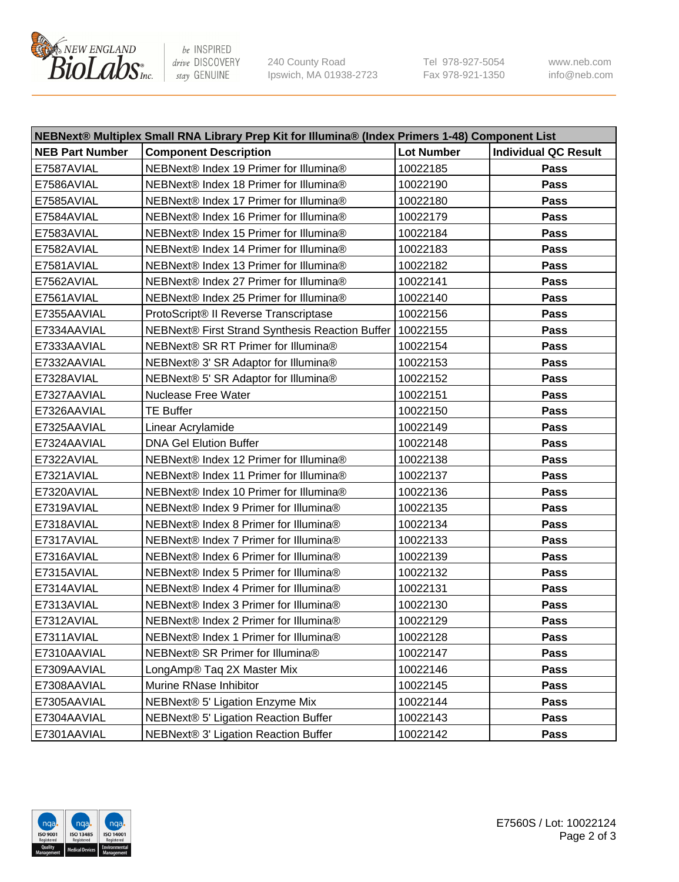

be INSPIRED drive DISCOVERY stay GENUINE

240 County Road Ipswich, MA 01938-2723 Tel 978-927-5054 Fax 978-921-1350 www.neb.com info@neb.com

| NEBNext® Multiplex Small RNA Library Prep Kit for Illumina® (Index Primers 1-48) Component List |                                                 |                   |                             |  |  |
|-------------------------------------------------------------------------------------------------|-------------------------------------------------|-------------------|-----------------------------|--|--|
| <b>NEB Part Number</b>                                                                          | <b>Component Description</b>                    | <b>Lot Number</b> | <b>Individual QC Result</b> |  |  |
| E7587AVIAL                                                                                      | NEBNext® Index 19 Primer for Illumina®          | 10022185          | Pass                        |  |  |
| E7586AVIAL                                                                                      | NEBNext® Index 18 Primer for Illumina®          | 10022190          | Pass                        |  |  |
| E7585AVIAL                                                                                      | NEBNext® Index 17 Primer for Illumina®          | 10022180          | Pass                        |  |  |
| E7584AVIAL                                                                                      | NEBNext® Index 16 Primer for Illumina®          | 10022179          | Pass                        |  |  |
| E7583AVIAL                                                                                      | NEBNext® Index 15 Primer for Illumina®          | 10022184          | Pass                        |  |  |
| E7582AVIAL                                                                                      | NEBNext® Index 14 Primer for Illumina®          | 10022183          | Pass                        |  |  |
| E7581AVIAL                                                                                      | NEBNext® Index 13 Primer for Illumina®          | 10022182          | Pass                        |  |  |
| E7562AVIAL                                                                                      | NEBNext® Index 27 Primer for Illumina®          | 10022141          | Pass                        |  |  |
| E7561AVIAL                                                                                      | NEBNext® Index 25 Primer for Illumina®          | 10022140          | Pass                        |  |  |
| E7355AAVIAL                                                                                     | ProtoScript® II Reverse Transcriptase           | 10022156          | Pass                        |  |  |
| E7334AAVIAL                                                                                     | NEBNext® First Strand Synthesis Reaction Buffer | 10022155          | Pass                        |  |  |
| E7333AAVIAL                                                                                     | NEBNext® SR RT Primer for Illumina®             | 10022154          | Pass                        |  |  |
| E7332AAVIAL                                                                                     | NEBNext® 3' SR Adaptor for Illumina®            | 10022153          | Pass                        |  |  |
| E7328AVIAL                                                                                      | NEBNext® 5' SR Adaptor for Illumina®            | 10022152          | Pass                        |  |  |
| E7327AAVIAL                                                                                     | <b>Nuclease Free Water</b>                      | 10022151          | Pass                        |  |  |
| E7326AAVIAL                                                                                     | <b>TE Buffer</b>                                | 10022150          | Pass                        |  |  |
| E7325AAVIAL                                                                                     | Linear Acrylamide                               | 10022149          | Pass                        |  |  |
| E7324AAVIAL                                                                                     | <b>DNA Gel Elution Buffer</b>                   | 10022148          | Pass                        |  |  |
| E7322AVIAL                                                                                      | NEBNext® Index 12 Primer for Illumina®          | 10022138          | <b>Pass</b>                 |  |  |
| E7321AVIAL                                                                                      | NEBNext® Index 11 Primer for Illumina®          | 10022137          | Pass                        |  |  |
| E7320AVIAL                                                                                      | NEBNext® Index 10 Primer for Illumina®          | 10022136          | Pass                        |  |  |
| E7319AVIAL                                                                                      | NEBNext® Index 9 Primer for Illumina®           | 10022135          | Pass                        |  |  |
| E7318AVIAL                                                                                      | NEBNext® Index 8 Primer for Illumina®           | 10022134          | Pass                        |  |  |
| E7317AVIAL                                                                                      | NEBNext® Index 7 Primer for Illumina®           | 10022133          | Pass                        |  |  |
| E7316AVIAL                                                                                      | NEBNext® Index 6 Primer for Illumina®           | 10022139          | Pass                        |  |  |
| E7315AVIAL                                                                                      | NEBNext® Index 5 Primer for Illumina®           | 10022132          | Pass                        |  |  |
| E7314AVIAL                                                                                      | NEBNext® Index 4 Primer for Illumina®           | 10022131          | Pass                        |  |  |
| E7313AVIAL                                                                                      | NEBNext® Index 3 Primer for Illumina®           | 10022130          | Pass                        |  |  |
| E7312AVIAL                                                                                      | NEBNext® Index 2 Primer for Illumina®           | 10022129          | Pass                        |  |  |
| E7311AVIAL                                                                                      | NEBNext® Index 1 Primer for Illumina®           | 10022128          | Pass                        |  |  |
| E7310AAVIAL                                                                                     | NEBNext® SR Primer for Illumina®                | 10022147          | Pass                        |  |  |
| E7309AAVIAL                                                                                     | LongAmp® Taq 2X Master Mix                      | 10022146          | Pass                        |  |  |
| E7308AAVIAL                                                                                     | Murine RNase Inhibitor                          | 10022145          | Pass                        |  |  |
| E7305AAVIAL                                                                                     | NEBNext® 5' Ligation Enzyme Mix                 | 10022144          | Pass                        |  |  |
| E7304AAVIAL                                                                                     | NEBNext® 5' Ligation Reaction Buffer            | 10022143          | Pass                        |  |  |
| E7301AAVIAL                                                                                     | NEBNext® 3' Ligation Reaction Buffer            | 10022142          | Pass                        |  |  |